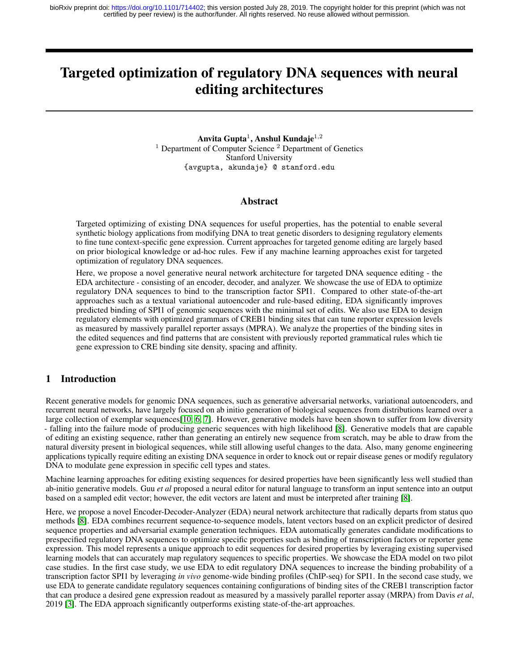# Targeted optimization of regulatory DNA sequences with neural editing architectures

Anvita Gupta $^1$ , Anshul Kundaje $^{1,2}$  $<sup>1</sup>$  Department of Computer Science  $<sup>2</sup>$  Department of Genetics</sup></sup> Stanford University {avgupta, akundaje} @ stanford.edu

#### Abstract

Targeted optimizing of existing DNA sequences for useful properties, has the potential to enable several synthetic biology applications from modifying DNA to treat genetic disorders to designing regulatory elements to fine tune context-specific gene expression. Current approaches for targeted genome editing are largely based on prior biological knowledge or ad-hoc rules. Few if any machine learning approaches exist for targeted optimization of regulatory DNA sequences.

Here, we propose a novel generative neural network architecture for targeted DNA sequence editing - the EDA architecture - consisting of an encoder, decoder, and analyzer. We showcase the use of EDA to optimize regulatory DNA sequences to bind to the transcription factor SPI1. Compared to other state-of-the-art approaches such as a textual variational autoencoder and rule-based editing, EDA significantly improves predicted binding of SPI1 of genomic sequences with the minimal set of edits. We also use EDA to design regulatory elements with optimized grammars of CREB1 binding sites that can tune reporter expression levels as measured by massively parallel reporter assays (MPRA). We analyze the properties of the binding sites in the edited sequences and find patterns that are consistent with previously reported grammatical rules which tie gene expression to CRE binding site density, spacing and affinity.

#### 1 Introduction

Recent generative models for genomic DNA sequences, such as generative adversarial networks, variational autoencoders, and recurrent neural networks, have largely focused on ab initio generation of biological sequences from distributions learned over a large collection of exemplar sequences[\[10,](#page-6-0) [6,](#page-6-1) [7\]](#page-6-2). However, generative models have been shown to suffer from low diversity - falling into the failure mode of producing generic sequences with high likelihood [\[8\]](#page-6-3). Generative models that are capable of editing an existing sequence, rather than generating an entirely new sequence from scratch, may be able to draw from the natural diversity present in biological sequences, while still allowing useful changes to the data. Also, many genome engineering applications typically require editing an existing DNA sequence in order to knock out or repair disease genes or modify regulatory DNA to modulate gene expression in specific cell types and states.

Machine learning approaches for editing existing sequences for desired properties have been significantly less well studied than ab-initio generative models. Guu *et al* proposed a neural editor for natural language to transform an input sentence into an output based on a sampled edit vector; however, the edit vectors are latent and must be interpreted after training [\[8\]](#page-6-3).

Here, we propose a novel Encoder-Decoder-Analyzer (EDA) neural network architecture that radically departs from status quo methods [\[8\]](#page-6-3). EDA combines recurrent sequence-to-sequence models, latent vectors based on an explicit predictor of desired sequence properties and adversarial example generation techniques. EDA automatically generates candidate modifications to prespecified regulatory DNA sequences to optimize specific properties such as binding of transcription factors or reporter gene expression. This model represents a unique approach to edit sequences for desired properties by leveraging existing supervised learning models that can accurately map regulatory sequences to specific properties. We showcase the EDA model on two pilot case studies. In the first case study, we use EDA to edit regulatory DNA sequences to increase the binding probability of a transcription factor SPI1 by leveraging *in vivo* genome-wide binding profiles (ChIP-seq) for SPI1. In the second case study, we use EDA to generate candidate regulatory sequences containing configurations of binding sites of the CREB1 transcription factor that can produce a desired gene expression readout as measured by a massively parallel reporter assay (MRPA) from Davis *et al*, 2019 [\[3\]](#page-6-4). The EDA approach significantly outperforms existing state-of-the-art approaches.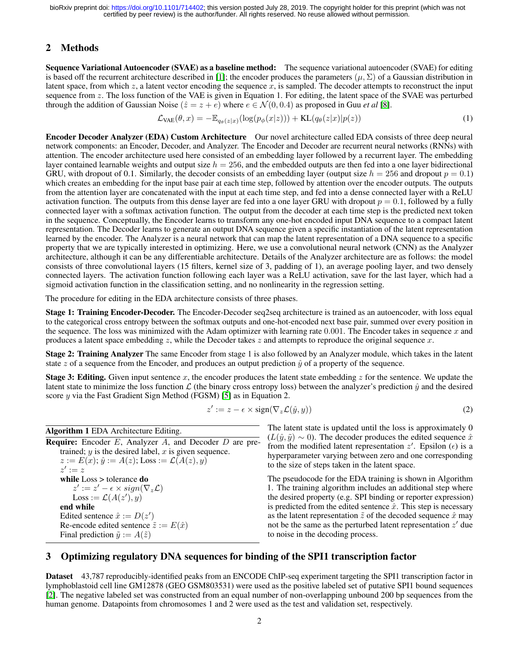# 2 Methods

Sequence Variational Autoencoder (SVAE) as a baseline method: The sequence variational autoencoder (SVAE) for editing is based off the recurrent architecture described in [\[1\]](#page-6-5); the encoder produces the parameters ( $\mu$ ,  $\Sigma$ ) of a Gaussian distribution in latent space, from which  $z$ , a latent vector encoding the sequence  $x$ , is sampled. The decoder attempts to reconstruct the input sequence from z. The loss function of the VAE is given in Equation 1. For editing, the latent space of the SVAE was perturbed through the addition of Gaussian Noise  $(\hat{z} = z + e)$  where  $e \in \mathcal{N}(0, 0.4)$  as proposed in Guu *et al* [\[8\]](#page-6-3).

$$
\mathcal{L}_{\text{VAE}}(\theta, x) = -\mathbb{E}_{q_{\theta}(z|x)}(\log(p_{\phi}(x|z))) + \text{KL}(q_{\theta}(z|x)|p(z))\tag{1}
$$

Encoder Decoder Analyzer (EDA) Custom Architecture Our novel architecture called EDA consists of three deep neural network components: an Encoder, Decoder, and Analyzer. The Encoder and Decoder are recurrent neural networks (RNNs) with attention. The encoder architecture used here consisted of an embedding layer followed by a recurrent layer. The embedding layer contained learnable weights and output size  $h = 256$ , and the embedded outputs are then fed into a one layer bidirectional GRU, with dropout of 0.1. Similarly, the decoder consists of an embedding layer (output size  $h = 256$  and dropout  $p = 0.1$ ) which creates an embedding for the input base pair at each time step, followed by attention over the encoder outputs. The outputs from the attention layer are concatenated with the input at each time step, and fed into a dense connected layer with a ReLU activation function. The outputs from this dense layer are fed into a one layer GRU with dropout  $p = 0.1$ , followed by a fully connected layer with a softmax activation function. The output from the decoder at each time step is the predicted next token in the sequence. Conceptually, the Encoder learns to transform any one-hot encoded input DNA sequence to a compact latent representation. The Decoder learns to generate an output DNA sequence given a specific instantiation of the latent representation learned by the encoder. The Analyzer is a neural network that can map the latent representation of a DNA sequence to a specific property that we are typically interested in optimizing. Here, we use a convolutional neural network (CNN) as the Analyzer architecture, although it can be any differentiable architecture. Details of the Analyzer architecture are as follows: the model consists of three convolutional layers (15 filters, kernel size of 3, padding of 1), an average pooling layer, and two densely connected layers. The activation function following each layer was a ReLU activation, save for the last layer, which had a sigmoid activation function in the classification setting, and no nonlinearity in the regression setting.

The procedure for editing in the EDA architecture consists of three phases.

Stage 1: Training Encoder-Decoder. The Encoder-Decoder seq2seq architecture is trained as an autoencoder, with loss equal to the categorical cross entropy between the softmax outputs and one-hot-encoded next base pair, summed over every position in the sequence. The loss was minimized with the Adam optimizer with learning rate  $0.001$ . The Encoder takes in sequence x and produces a latent space embedding  $z$ , while the Decoder takes  $z$  and attempts to reproduce the original sequence  $x$ .

Stage 2: Training Analyzer The same Encoder from stage 1 is also followed by an Analyzer module, which takes in the latent state z of a sequence from the Encoder, and produces an output prediction  $\hat{y}$  of a property of the sequence.

**Stage 3: Editing.** Given input sentence  $x$ , the encoder produces the latent state embedding  $z$  for the sentence. We update the latent state to minimize the loss function  $\mathcal L$  (the binary cross entropy loss) between the analyzer's prediction  $\hat y$  and the desired score y via the Fast Gradient Sign Method (FGSM) [\[5\]](#page-6-6) as in Equation 2.

$$
z' := z - \epsilon \times \text{sign}(\nabla_z \mathcal{L}(\hat{y}, y))
$$
\n<sup>(2)</sup>

| <b>Algorithm 1</b> EDA Architecture Editing.                     |
|------------------------------------------------------------------|
| <b>Require:</b> Encoder E, Analyzer A, and Decoder D are pre-    |
| trained; $y$ is the desired label, $x$ is given sequence.        |
| $z := E(x)$ ; $\hat{y} := A(z)$ ; Loss := $\mathcal{L}(A(z), y)$ |
| $z' := z$                                                        |
| while $Loss > tolerance$ do                                      |
| $z' := z' - \epsilon \times sign(\nabla_z \mathcal{L})$          |
| Loss := $\mathcal{L}(A(z'), y)$                                  |
| end while                                                        |
| Edited sentence $\hat{x} := D(z')$                               |
| Re-encode edited sentence $\tilde{z} := E(\hat{x})$              |
| Final prediction $\tilde{y} := A(\tilde{z})$                     |

The latent state is updated until the loss is approximately 0  $(L(\hat{y}, \tilde{y}) \sim 0)$ . The decoder produces the edited sequence  $\hat{x}$ from the modified latent representation  $z'$ . Epsilon  $(\epsilon)$  is a hyperparameter varying between zero and one corresponding to the size of steps taken in the latent space.

The pseudocode for the EDA training is shown in Algorithm 1. The training algorithm includes an additional step where the desired property (e.g. SPI binding or reporter expression) is predicted from the edited sentence  $\hat{x}$ . This step is necessary as the latent representation  $\tilde{z}$  of the decoded sequence  $\hat{x}$  may not be the same as the perturbed latent representation  $z'$  due to noise in the decoding process.

# 3 Optimizing regulatory DNA sequences for binding of the SPI1 transcription factor

Dataset 43,787 reproducibly-identified peaks from an ENCODE ChIP-seq experiment targeting the SPI1 transcription factor in lymphoblastoid cell line GM12878 (GEO GSM803531) were used as the positive labeled set of putative SPI1 bound sequences [\[2\]](#page-6-7). The negative labeled set was constructed from an equal number of non-overlapping unbound 200 bp sequences from the human genome. Datapoints from chromosomes 1 and 2 were used as the test and validation set, respectively.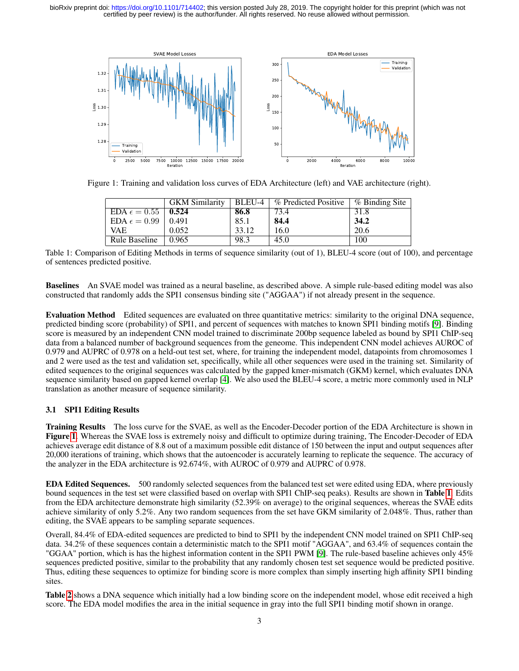

Figure 1: Training and validation loss curves of EDA Architecture (left) and VAE architecture (right).

<span id="page-2-0"></span>

|                               | <b>GKM</b> Similarity | BLEU-4 | % Predicted Positive | % Binding Site |
|-------------------------------|-----------------------|--------|----------------------|----------------|
| EDA $\epsilon = 0.55$   0.524 |                       | 86.8   | 73.4                 | 31.8           |
| EDA $\epsilon = 0.99$         | 0.491                 | 85.1   | 84.4                 | 34.2           |
| VAE.                          | 0.052                 | 33.12  | 16.0                 | 20.6           |
| Rule Baseline                 | 0.965                 | 98.3   | 45.0                 | 100            |

<span id="page-2-1"></span>Table 1: Comparison of Editing Methods in terms of sequence similarity (out of 1), BLEU-4 score (out of 100), and percentage of sentences predicted positive.

Baselines An SVAE model was trained as a neural baseline, as described above. A simple rule-based editing model was also constructed that randomly adds the SPI1 consensus binding site ("AGGAA") if not already present in the sequence.

Evaluation Method Edited sequences are evaluated on three quantitative metrics: similarity to the original DNA sequence, predicted binding score (probability) of SPI1, and percent of sequences with matches to known SPI1 binding motifs [\[9\]](#page-6-8). Binding score is measured by an independent CNN model trained to discriminate 200bp sequence labeled as bound by SPI1 ChIP-seq data from a balanced number of background sequences from the geneome. This independent CNN model achieves AUROC of 0.979 and AUPRC of 0.978 on a held-out test set, where, for training the independent model, datapoints from chromosomes 1 and 2 were used as the test and validation set, specifically, while all other sequences were used in the training set. Similarity of edited sequences to the original sequences was calculated by the gapped kmer-mismatch (GKM) kernel, which evaluates DNA sequence similarity based on gapped kernel overlap [\[4\]](#page-6-9). We also used the BLEU-4 score, a metric more commonly used in NLP translation as another measure of sequence similarity.

#### 3.1 SPI1 Editing Results

Training Results The loss curve for the SVAE, as well as the Encoder-Decoder portion of the EDA Architecture is shown in Figure [1](#page-2-0). Whereas the SVAE loss is extremely noisy and difficult to optimize during training, The Encoder-Decoder of EDA achieves average edit distance of 8.8 out of a maximum possible edit distance of 150 between the input and output sequences after 20,000 iterations of training, which shows that the autoencoder is accurately learning to replicate the sequence. The accuracy of the analyzer in the EDA architecture is 92.674%, with AUROC of 0.979 and AUPRC of 0.978.

EDA Edited Sequences. 500 randomly selected sequences from the balanced test set were edited using EDA, where previously bound sequences in the test set were classified based on overlap with SPI1 ChIP-seq peaks). Results are shown in Table [1](#page-2-1). Edits from the EDA architecture demonstrate high similarity (52.39% on average) to the original sequences, whereas the SVAE edits achieve similarity of only 5.2%. Any two random sequences from the set have GKM similarity of 2.048%. Thus, rather than editing, the SVAE appears to be sampling separate sequences.

Overall, 84.4% of EDA-edited sequences are predicted to bind to SPI1 by the independent CNN model trained on SPI1 ChIP-seq data. 34.2% of these sequences contain a deterministic match to the SPI1 motif "AGGAA", and 63.4% of sequences contain the "GGAA" portion, which is has the highest information content in the SPI1 PWM [\[9\]](#page-6-8). The rule-based baseline achieves only 45% sequences predicted positive, similar to the probability that any randomly chosen test set sequence would be predicted positive. Thus, editing these sequences to optimize for binding score is more complex than simply inserting high affinity SPI1 binding sites.

Table [2](#page-3-0) shows a DNA sequence which initially had a low binding score on the independent model, whose edit received a high score. The EDA model modifies the area in the initial sequence in gray into the full SPI1 binding motif shown in orange.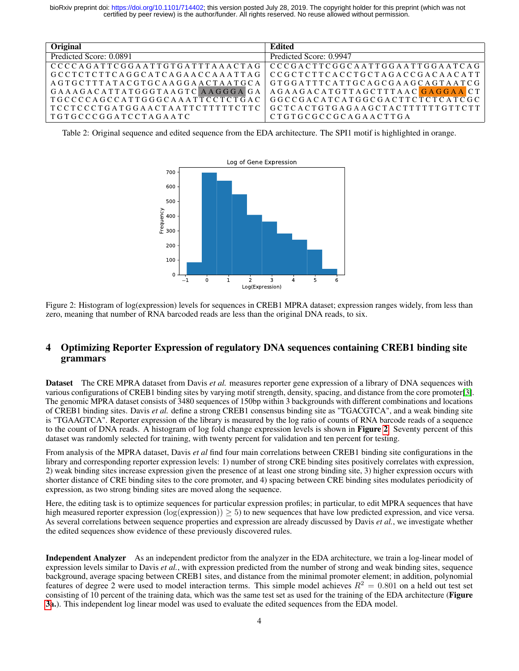| Original                               | Edited                          |
|----------------------------------------|---------------------------------|
| Predicted Score: 0.0891                | Predicted Score: 0.9947         |
| CCCCAGATTCGGAATTGTGATTTAAACTAG         | CCCGACTTCGGCAATTGGAATTGGAATCAG  |
| GCCTCTCTTCAGGCATCAGAACCAAATTAG         | CCGCTCTTCACCTGCTAGACCGACAACATT  |
| AGTGCTTTATACGTGCAAGGAACTAATGCA         | GTGGATTTCATTGCAGCGAAGCAGTAATCG  |
| GAAAGACATTATGGGTAAGTCAAGGGAGA          | AGAAGACATGTTAGCTTTAACGAGGAACT   |
| TGCCCCAGCCATTGGGCAAATTCCTCTGAC         | GGCCGACATCATGGCGACTTCTCTCATCGC  |
| $\top$ TCCTCCCTGATGGAACTAATTCTTTTTCTTC | GCTCACTGTGAGAAGCTACTTTTTTGTTCTT |
| $\mid$ TGTGCCCGGATCCTAGAATC            | CTGTGCGCCGCAGAACTTGA            |

<span id="page-3-0"></span>Table 2: Original sequence and edited sequence from the EDA architecture. The SPI1 motif is highlighted in orange.



<span id="page-3-1"></span>Figure 2: Histogram of log(expression) levels for sequences in CREB1 MPRA dataset; expression ranges widely, from less than zero, meaning that number of RNA barcoded reads are less than the original DNA reads, to six.

## 4 Optimizing Reporter Expression of regulatory DNA sequences containing CREB1 binding site grammars

Dataset The CRE MPRA dataset from Davis *et al.* measures reporter gene expression of a library of DNA sequences with various configurations of CREB1 binding sites by varying motif strength, density, spacing, and distance from the core promoter[\[3\]](#page-6-4). The genomic MPRA dataset consists of 3480 sequences of 150bp within 3 backgrounds with different combinations and locations of CREB1 binding sites. Davis *et al.* define a strong CREB1 consensus binding site as "TGACGTCA", and a weak binding site is "TGAAGTCA". Reporter expression of the library is measured by the log ratio of counts of RNA barcode reads of a sequence to the count of DNA reads. A histogram of log fold change expression levels is shown in Figure [2](#page-3-1). Seventy percent of this dataset was randomly selected for training, with twenty percent for validation and ten percent for testing.

From analysis of the MPRA dataset, Davis *et al* find four main correlations between CREB1 binding site configurations in the library and corresponding reporter expression levels: 1) number of strong CRE binding sites positively correlates with expression, 2) weak binding sites increase expression given the presence of at least one strong binding site, 3) higher expression occurs with shorter distance of CRE binding sites to the core promoter, and 4) spacing between CRE binding sites modulates periodicity of expression, as two strong binding sites are moved along the sequence.

Here, the editing task is to optimize sequences for particular expression profiles; in particular, to edit MPRA sequences that have high measured reporter expression  $(log(expression)) \ge 5$ ) to new sequences that have low predicted expression, and vice versa. As several correlations between sequence properties and expression are already discussed by Davis *et al.*, we investigate whether the edited sequences show evidence of these previously discovered rules.

Independent Analyzer As an independent predictor from the analyzer in the EDA architecture, we train a log-linear model of expression levels similar to Davis *et al.*, with expression predicted from the number of strong and weak binding sites, sequence background, average spacing between CREB1 sites, and distance from the minimal promoter element; in addition, polynomial features of degree 2 were used to model interaction terms. This simple model achieves  $R^2 = 0.801$  on a held out test set consisting of 10 percent of the training data, which was the same test set as used for the training of the EDA architecture (**Figure**) [3a](#page-4-0).). This independent log linear model was used to evaluate the edited sequences from the EDA model.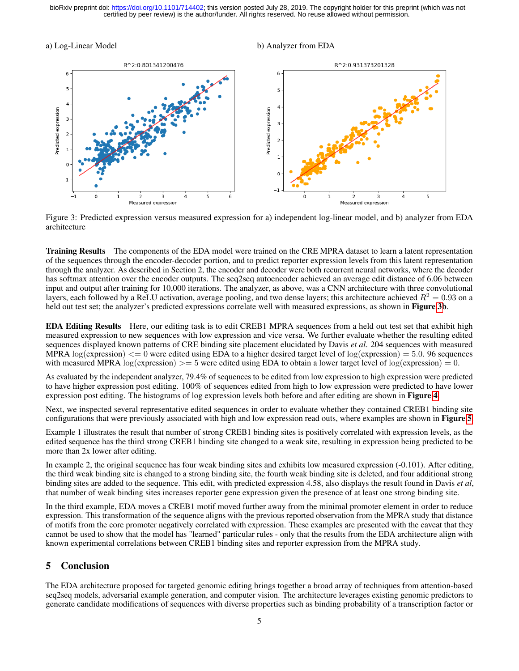#### a) Log-Linear Model b) Analyzer from EDA



<span id="page-4-0"></span>Figure 3: Predicted expression versus measured expression for a) independent log-linear model, and b) analyzer from EDA architecture

Training Results The components of the EDA model were trained on the CRE MPRA dataset to learn a latent representation of the sequences through the encoder-decoder portion, and to predict reporter expression levels from this latent representation through the analyzer. As described in Section 2, the encoder and decoder were both recurrent neural networks, where the decoder has softmax attention over the encoder outputs. The seq2seq autoencoder achieved an average edit distance of 6.06 between input and output after training for 10,000 iterations. The analyzer, as above, was a CNN architecture with three convolutional layers, each followed by a ReLU activation, average pooling, and two dense layers; this architecture achieved  $R^2 = 0.93$  on a held out test set; the analyzer's predicted expressions correlate well with measured expressions, as shown in Figure [3b](#page-4-0).

EDA Editing Results Here, our editing task is to edit CREB1 MPRA sequences from a held out test set that exhibit high measured expression to new sequences with low expression and vice versa. We further evaluate whether the resulting edited sequences displayed known patterns of CRE binding site placement elucidated by Davis *et al*. 204 sequences with measured MPRA  $\log(\text{expression}) \leq 0$  were edited using EDA to a higher desired target level of  $\log(\text{expression}) = 5.0$ . 96 sequences with measured MPRA  $log(expression) >= 5$  were edited using EDA to obtain a lower target level of  $log(expression) = 0$ .

As evaluated by the independent analyzer, 79.4% of sequences to be edited from low expression to high expression were predicted to have higher expression post editing. 100% of sequences edited from high to low expression were predicted to have lower expression post editing. The histograms of log expression levels both before and after editing are shown in Figure [4](#page-5-0).

Next, we inspected several representative edited sequences in order to evaluate whether they contained CREB1 binding site configurations that were previously associated with high and low expression read outs, where examples are shown in Figure [5](#page-5-1).

Example 1 illustrates the result that number of strong CREB1 binding sites is positively correlated with expression levels, as the edited sequence has the third strong CREB1 binding site changed to a weak site, resulting in expression being predicted to be more than 2x lower after editing.

In example 2, the original sequence has four weak binding sites and exhibits low measured expression (-0.101). After editing, the third weak binding site is changed to a strong binding site, the fourth weak binding site is deleted, and four additional strong binding sites are added to the sequence. This edit, with predicted expression 4.58, also displays the result found in Davis *et al*, that number of weak binding sites increases reporter gene expression given the presence of at least one strong binding site.

In the third example, EDA moves a CREB1 motif moved further away from the minimal promoter element in order to reduce expression. This transformation of the sequence aligns with the previous reported observation from the MPRA study that distance of motifs from the core promoter negatively correlated with expression. These examples are presented with the caveat that they cannot be used to show that the model has "learned" particular rules - only that the results from the EDA architecture align with known experimental correlations between CREB1 binding sites and reporter expression from the MPRA study.

## 5 Conclusion

The EDA architecture proposed for targeted genomic editing brings together a broad array of techniques from attention-based seq2seq models, adversarial example generation, and computer vision. The architecture leverages existing genomic predictors to generate candidate modifications of sequences with diverse properties such as binding probability of a transcription factor or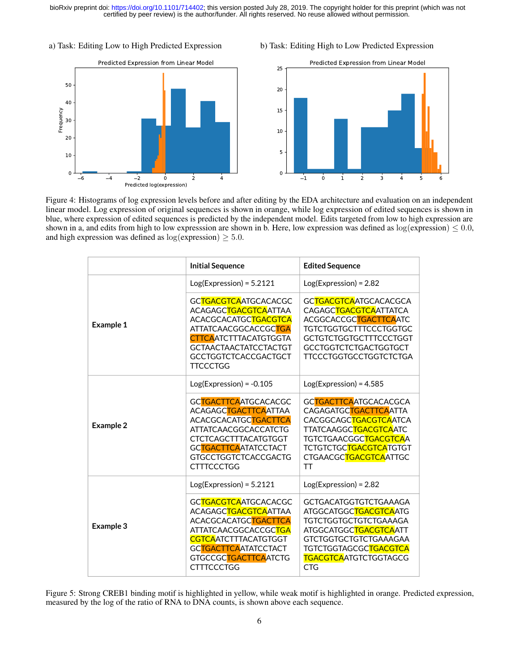a) Task: Editing Low to High Predicted Expression

b) Task: Editing High to Low Predicted Expression





<span id="page-5-0"></span>Figure 4: Histograms of log expression levels before and after editing by the EDA architecture and evaluation on an independent linear model. Log expression of original sequences is shown in orange, while log expression of edited sequences is shown in blue, where expression of edited sequences is predicted by the independent model. Edits targeted from low to high expression are shown in a, and edits from high to low expresssion are shown in b. Here, low expression was defined as  $log(expression) \leq 0.0$ , and high expression was defined as  $log(expression) \geq 5.0$ .

|                  | <b>Initial Sequence</b>                                                                                                                                                                                         | <b>Edited Sequence</b>                                                                                                                                                                                                                       |
|------------------|-----------------------------------------------------------------------------------------------------------------------------------------------------------------------------------------------------------------|----------------------------------------------------------------------------------------------------------------------------------------------------------------------------------------------------------------------------------------------|
|                  | $Log(Expression) = 5.2121$                                                                                                                                                                                      | $Log(Expression) = 2.82$                                                                                                                                                                                                                     |
| <b>Example 1</b> | GCTGACGTCAATGCACACGC<br>ACAGAGCTGACGTCAATTAA<br>ACACGCACATGCTGACGTCA<br>ATTATCAACGGCACCGCTGA<br><b>CTTCA</b> ATCTTTACATGTGGTA<br><b>GCTAACTAACTATCCTACTGT</b><br><b>GCCTGGTCTCACCGACTGCT</b><br><b>TTCCCTGG</b> | GCTGACGTCAATGCACACGCA<br>CAGAGCTGACGTCAATTATCA<br>ACGGCACCGCTGACTTCAATC<br>TGTCTGGTGCTTTCCCTGGTGC<br><b>GCTGTCTGGTGCTTTCCCTGGT</b><br><b>GCCTGGTCTCTGACTGGTGCT</b><br>TTCCCTGGTGCCTGGTCTCTGA                                                 |
|                  | $Log(Expression) = -0.105$                                                                                                                                                                                      | $Log(Expression) = 4.585$                                                                                                                                                                                                                    |
| <b>Example 2</b> | GCTGACTTCAATGCACACGC<br>ACAGAGCTGACTTCAATTAA<br>ACACGCACATGCTGACTTCA<br><b>ATTATCAACGGCACCATCTG</b><br><b>CTCTCAGCTTTACATGTGGT</b><br>GCTGACTTCAATATCCTACT<br><b>GTGCCTGGTCTCACCGACTG</b><br><b>CTTTCCCTGG</b>  | GCTGACTTCAATGCACACGCA<br>CAGAGATGCTGACTTCAATTA<br>CACGGCAGCTGACGTCAATCA<br>TTATCAAGGC <mark>TGACGTCA</mark> ATC<br>TGTCTGAACGGC <mark>TGACGTCA</mark> A<br>TCTGTCTGC <mark>TGACGTCA</mark> TGTGT<br>CTGAACGCTGACGTCAATTGC<br><b>TT</b>       |
|                  | $Log(Expression) = 5.2121$                                                                                                                                                                                      | $Log(Expression) = 2.82$                                                                                                                                                                                                                     |
| Example 3        | GCTGACGTCAATGCACACGC<br>ACAGAGCTGACGTCAATTAA<br>ACACGCACATGCTGACTTCA<br>ATTATCAACGGCACCGC <mark>TGA</mark><br><b>CGTCAATCTTTACATGTGGT</b><br>GCTGACTTCAATATCCTACT<br>GTGCCGCTGACTTCAATCTG<br><b>CTTTCCCTGG</b>  | <b>GCTGACATGGTGTCTGAAAGA</b><br>ATGGCATGGCTGACGTCAATG<br>TGTCTGGTGCTGTCTGAAAGA<br>ATGGCATGGC <mark>TGACGTCA</mark> ATT<br><b>GTCTGGTGCTGTCTGAAAGAA</b><br>TGTCTGGTAGCGC <mark>TGACGTCA</mark><br><b>TGACGTCA</b> ATGTCTGGTAGCG<br><b>CTG</b> |

<span id="page-5-1"></span>Figure 5: Strong CREB1 binding motif is highlighted in yellow, while weak motif is highlighted in orange. Predicted expression, measured by the log of the ratio of RNA to DNA counts, is shown above each sequence.